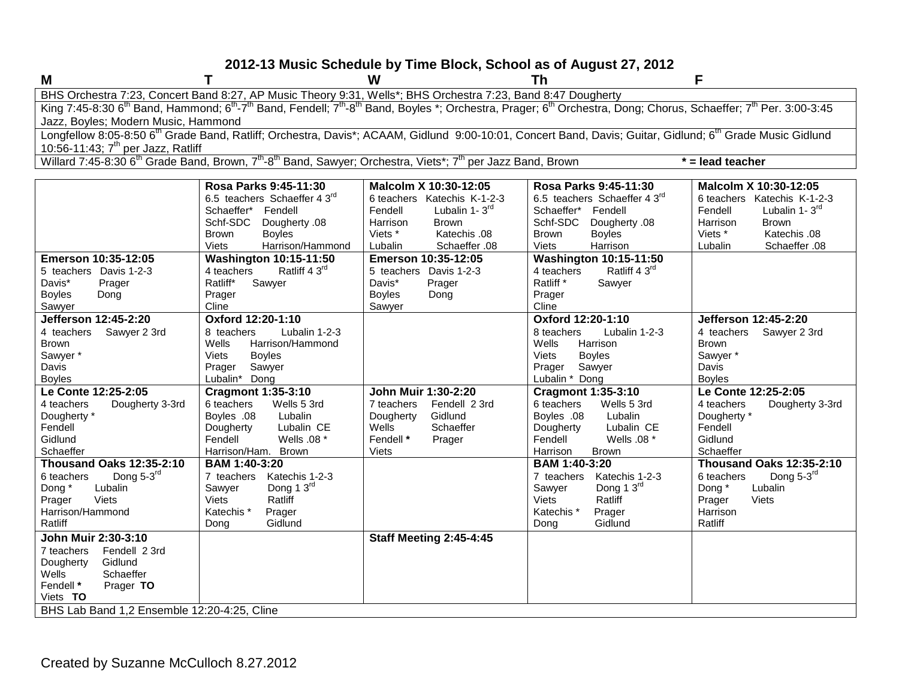### **2012-13 Music Schedule by Time Block, School as of August 27, 2012**

| ľ<br>١ |  |  |
|--------|--|--|

**M T W Th F** BHS Orchestra 7:23, Concert Band 8:27, AP Music Theory 9:31, Wells\*; BHS Orchestra 7:23, Band 8:47 Dougherty King 7:45-8:30 6<sup>th</sup> Band, Hammond; 6<sup>th</sup>-7<sup>th</sup> Band, Fendell; 7<sup>th</sup>-8<sup>th</sup> Band, Boyles \*; Orchestra, Prager; 6<sup>th</sup> Orchestra, Dong; Chorus, Schaeffer; 7<sup>th</sup> Per. 3:00-3:45 Jazz, Boyles; Modern Music, Hammond Longfellow 8:05-8:50 6<sup>th</sup> Grade Band, Ratliff; Orchestra, Davis\*; ACAAM, Gidlund 9:00-10:01, Concert Band, Davis; Guitar, Gidlund; 6<sup>th</sup> Grade Music Gidlund 10:56-11:43; 7<sup>th</sup> per Jazz, Ratliff Willard 7:45-8:30 6<sup>th</sup> Grade Band, Brown, 7<sup>th</sup>-8<sup>th</sup> Band, Sawyer; Orchestra, Viets<sup>\*</sup>; 7<sup>th</sup> per Jazz Band, Brown **\*** = lead teacher **Rosa Parks 9:45-11:30** 6.5 teachers Schaeffer 4 3rd Schaeffer\* Fendell Schf-SDC Dougherty .08 Brown Boyles<br>Viets Harriso Harrison/Hammond **Malcolm X 10:30-12:05** 6 teachers Katechis K-1-2-3 Fendell Lubalin 1-3<sup>rd</sup> Harrison Brown<br>Viets \* Katech Katechis .08 Lubalin Schaeffer .08 **Rosa Parks 9:45-11:30** 6.5 teachers Schaeffer 4 3<sup>rd</sup> Schaeffer\* Fendell Schf-SDC Dougherty .08 Brown Boyles<br>Viets Harriso Harrison **Malcolm X 10:30-12:05** 6 teachers Katechis K-1-2-3 Fendell Lubalin  $1 - 3^{rd}$ Harrison Brown<br>Viets \* Katech Viets \* Katechis .08<br>Lubalin Schaeffer .08 Schaeffer .08 **Emerson 10:35-12:05** 5 teachers Davis 1-2-3 Davis\* Prager Boyles Dong **Washington 10:15-11:50** 4 teachers Ratliff  $4.3<sup>rd</sup>$ Ratliff\* Sawyer Prager **Emerson 10:35-12:05** 5 teachers Davis 1-2-3 Davis\* Prager Boyles Dong **Washington 10:15-11:50** 4 teachers Ratliff  $4.3<sup>rd</sup>$ Ratliff \* Sawyer Prager

| 5 teachers<br>Davis 1-2-3<br>Davis*<br>Prager | Ratliff 4 3 <sup>rd</sup><br>4 teachers<br>Ratliff*<br>Sawyer | 5 teachers Davis 1-2-3<br>Davis*<br>Prager | Ratliff 4 3 <sup>rd</sup><br>4 teachers<br>Ratliff <sup>*</sup><br>Sawyer |                                            |  |
|-----------------------------------------------|---------------------------------------------------------------|--------------------------------------------|---------------------------------------------------------------------------|--------------------------------------------|--|
| <b>Boyles</b><br>Dong<br>Sawyer               | Prager<br>Cline                                               | <b>Boyles</b><br>Dong<br>Sawyer            | Prager<br>Cline                                                           |                                            |  |
| Jefferson 12:45-2:20                          | Oxford 12:20-1:10                                             |                                            | Oxford 12:20-1:10                                                         | Jefferson 12:45-2:20                       |  |
| Sawyer 2 3rd<br>4 teachers                    | Lubalin 1-2-3<br>8 teachers<br>Wells<br>Harrison/Hammond      |                                            | Lubalin 1-2-3<br>8 teachers<br>Wells<br>Harrison                          | Sawyer 2 3rd<br>4 teachers<br><b>Brown</b> |  |
| <b>Brown</b>                                  | Viets                                                         |                                            | Viets<br><b>Boyles</b>                                                    | Sawyer *                                   |  |
| Sawyer *<br>Davis                             | <b>Boyles</b><br>Sawyer<br>Prager                             |                                            | Prager<br>Sawyer                                                          | Davis                                      |  |
| <b>Boyles</b>                                 | Lubalin* Dong                                                 |                                            | Lubalin * Dong                                                            | <b>Boyles</b>                              |  |
| Le Conte 12:25-2:05                           | <b>Cragmont 1:35-3:10</b>                                     | John Muir 1:30-2:20                        | <b>Cragmont 1:35-3:10</b>                                                 | Le Conte 12:25-2:05                        |  |
| Dougherty 3-3rd<br>4 teachers                 | 6 teachers<br>Wells 5 3rd                                     | 7 teachers<br>Fendell 2 3rd                | 6 teachers<br>Wells 5 3rd                                                 | Dougherty 3-3rd<br>4 teachers              |  |
| Dougherty *                                   | Lubalin<br>Boyles .08                                         | Gidlund<br>Dougherty                       | Boyles .08<br>Lubalin                                                     | Dougherty *                                |  |
| Fendell                                       | Lubalin CE<br>Dougherty                                       | Wells<br>Schaeffer                         | Lubalin CE<br>Dougherty                                                   | Fendell                                    |  |
| Gidlund                                       | Fendell<br>Wells $.08*$                                       | Fendell *<br>Prager                        | Fendell<br>Wells .08 *                                                    | Gidlund                                    |  |
| Schaeffer                                     | Harrison/Ham. Brown                                           | <b>Viets</b>                               | <b>Brown</b><br>Harrison                                                  | Schaeffer                                  |  |
| <b>Thousand Oaks 12:35-2:10</b>               | BAM 1:40-3:20                                                 |                                            | BAM 1:40-3:20                                                             | <b>Thousand Oaks 12:35-2:10</b>            |  |
| Dong 5-3rd<br>6 teachers                      | Katechis 1-2-3<br>7 teachers                                  |                                            | Katechis 1-2-3<br>7 teachers                                              | Dong $5-3$ <sup>rd</sup><br>6 teachers     |  |
| Lubalin<br>Dong *                             | Dong 1 $3^{\text{rd}}$<br>Sawyer                              |                                            | Dong 1 3rd<br>Sawyer                                                      | Dong *<br>Lubalin                          |  |
| Viets<br>Prager                               | Ratliff<br>Viets                                              |                                            | Viets<br>Ratliff                                                          | <b>Viets</b><br>Prager                     |  |
| Harrison/Hammond                              | Katechis <sup>*</sup><br>Prager                               |                                            | Katechis <sup>*</sup><br>Prager                                           | Harrison                                   |  |
| Ratliff                                       | Gidlund<br>Dong                                               |                                            | Gidlund<br>Dong                                                           | Ratliff                                    |  |
| John Muir 2:30-3:10                           |                                                               | <b>Staff Meeting 2:45-4:45</b>             |                                                                           |                                            |  |
| Fendell 2 3rd<br>7 teachers                   |                                                               |                                            |                                                                           |                                            |  |
| Gidlund<br>Dougherty                          |                                                               |                                            |                                                                           |                                            |  |
| Wells<br>Schaeffer<br>Fendell *               |                                                               |                                            |                                                                           |                                            |  |
| Prager <b>TO</b><br>Viets <b>TO</b>           |                                                               |                                            |                                                                           |                                            |  |
| BHS Lab Band 1,2 Ensemble 12:20-4:25, Cline   |                                                               |                                            |                                                                           |                                            |  |
|                                               |                                                               |                                            |                                                                           |                                            |  |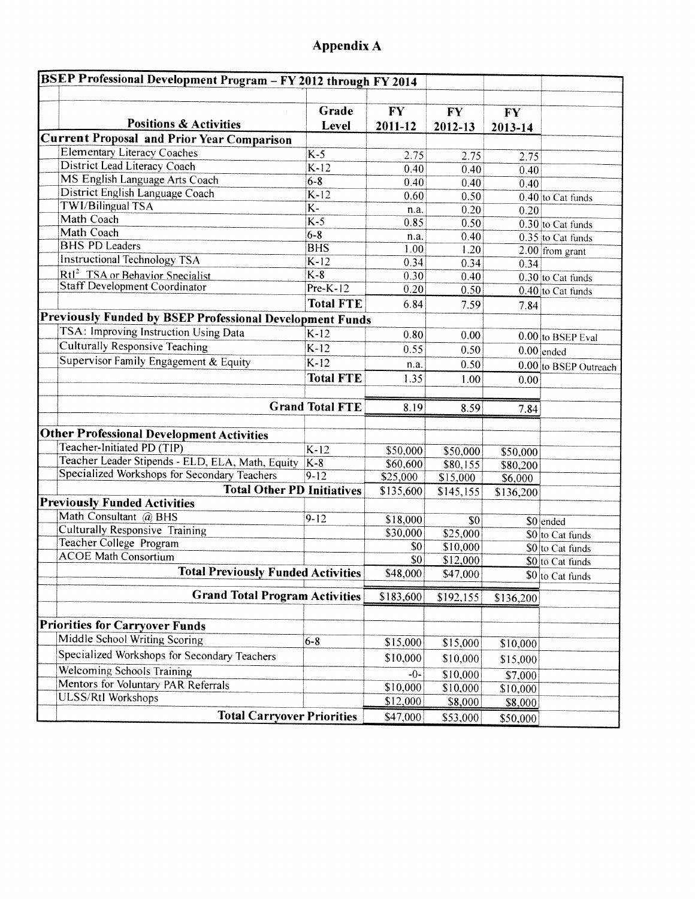# Appendix A

| BSEP Professional Development Program - FY 2012 through FY 2014 |                        |           |                   |           |                       |
|-----------------------------------------------------------------|------------------------|-----------|-------------------|-----------|-----------------------|
|                                                                 | Grade                  | <b>FY</b> | <b>FY</b>         | <b>FY</b> |                       |
| <b>Positions &amp; Activities</b>                               | Level                  | 2011-12   | 2012-13           | 2013-14   |                       |
| <b>Current Proposal and Prior Year Comparison</b>               |                        |           |                   |           |                       |
| <b>Elementary Literacy Coaches</b>                              | $K-5$                  | 2.75      | 2.75              | 2.75      |                       |
| <b>District Lead Literacy Coach</b>                             | $K-12$                 | 0.40      | 0.40              | 0.40      |                       |
| MS English Language Arts Coach                                  | $6 - 8$                | 0.40      | 0.40              | 0.40      |                       |
| District English Language Coach                                 | $K-12$                 | 0.60      | 0.50              |           | 0.40 to Cat funds     |
| <b>TWI/Bilingual TSA</b>                                        | $\overline{K}$         | n.a.      | 0.20              | 0.20      |                       |
| Math Coach                                                      | $K-5$                  | 0.85      | 0.50              |           | 0.30 to Cat funds     |
| Math Coach                                                      | $6 - 8$                | n.a.      | 0.40              |           | $0.35$ to Cat funds   |
| <b>BHS PD Leaders</b>                                           | <b>BHS</b>             | 1.00      | $\overline{1.20}$ |           | $2.00$ from grant     |
| <b>Instructional Technology TSA</b>                             | $K-12$                 | 0.34      | 0.34              | 0.34      |                       |
| Rtl <sup>2</sup> TSA or Behavior Specialist                     | $K-8$                  | 0.30      | 0.40              |           | 0.30 to Cat funds     |
| <b>Staff Development Coordinator</b>                            | $Pre-K-12$             | 0.20      | 0.50              |           | 0.40 to Cat funds     |
|                                                                 | <b>Total FTE</b>       | 6.84      | 7.59              | 7.84      |                       |
| Previously Funded by BSEP Professional Development Funds        |                        |           |                   |           |                       |
| TSA: Improving Instruction Using Data                           | $K-12$                 | 0.80      | 0.00              |           |                       |
| Culturally Responsive Teaching                                  | $K-12$                 | 0.55      |                   |           | 0.00 to BSEP Eval     |
| Supervisor Family Engagement & Equity                           | $K-12$                 |           | 0.50              |           | $0.00$ ended          |
|                                                                 |                        | n.a.      | 0.50              |           | 0.00 to BSEP Outreach |
|                                                                 | <b>Total FTE</b>       | 1.35      | 1.00              | 0.00      |                       |
|                                                                 |                        |           |                   |           |                       |
|                                                                 | <b>Grand Total FTE</b> | 8.19      | 8.59              | 7.84      |                       |
| <b>Other Professional Development Activities</b>                |                        |           |                   |           |                       |
| Teacher-Initiated PD (TIP)                                      | $K-12$                 |           |                   |           |                       |
| Teacher Leader Stipends - ELD, ELA, Math, Equity                | $K-8$                  | \$50,000  | \$50,000          | \$50,000  |                       |
| Specialized Workshops for Secondary Teachers                    | $9 - 12$               | \$60,600  | \$80,155          | \$80,200  |                       |
| <b>Total Other PD Initiatives</b>                               |                        | \$25,000  | \$15,000          | \$6,000   |                       |
| <b>Previously Funded Activities</b>                             |                        | \$135,600 | \$145,155         | \$136,200 |                       |
| Math Consultant @ BHS                                           |                        |           |                   |           |                       |
| <b>Culturally Responsive Training</b>                           | $9 - 12$               | \$18,000  | \$0               |           | \$0 ended             |
| Teacher College Program                                         |                        | \$30,000  | \$25,000          |           | \$0 to Cat funds      |
| <b>ACOE</b> Math Consortium                                     |                        | \$0       | \$10,000          |           | \$0 to Cat funds      |
|                                                                 |                        | \$0       | \$12,000          |           | \$0 to Cat funds      |
| <b>Total Previously Funded Activities</b>                       |                        | \$48,000  | \$47,000          |           | \$0 to Cat funds      |
| <b>Grand Total Program Activities</b>                           |                        | \$183,600 | \$192,155         | \$136,200 |                       |
|                                                                 |                        |           |                   |           |                       |
| <b>Priorities for Carryover Funds</b>                           |                        |           |                   |           |                       |
| Middle School Writing Scoring                                   | $6 - 8$                | \$15,000  | \$15,000          |           |                       |
| Specialized Workshops for Secondary Teachers                    |                        |           |                   | \$10,000  |                       |
| <b>Welcoming Schools Training</b>                               |                        | \$10,000  | \$10,000          | \$15,000  |                       |
| Mentors for Voluntary PAR Referrals                             |                        | $-0-$     | \$10,000          | \$7,000   |                       |
| <b>ULSS/Rtl Workshops</b>                                       |                        | \$10,000  | \$10,000          | \$10,000  |                       |
|                                                                 |                        | \$12,000  | \$8,000           | \$8,000   |                       |
| <b>Total Carryover Priorities</b>                               |                        | \$47,000  | \$53,000          | \$50,000  |                       |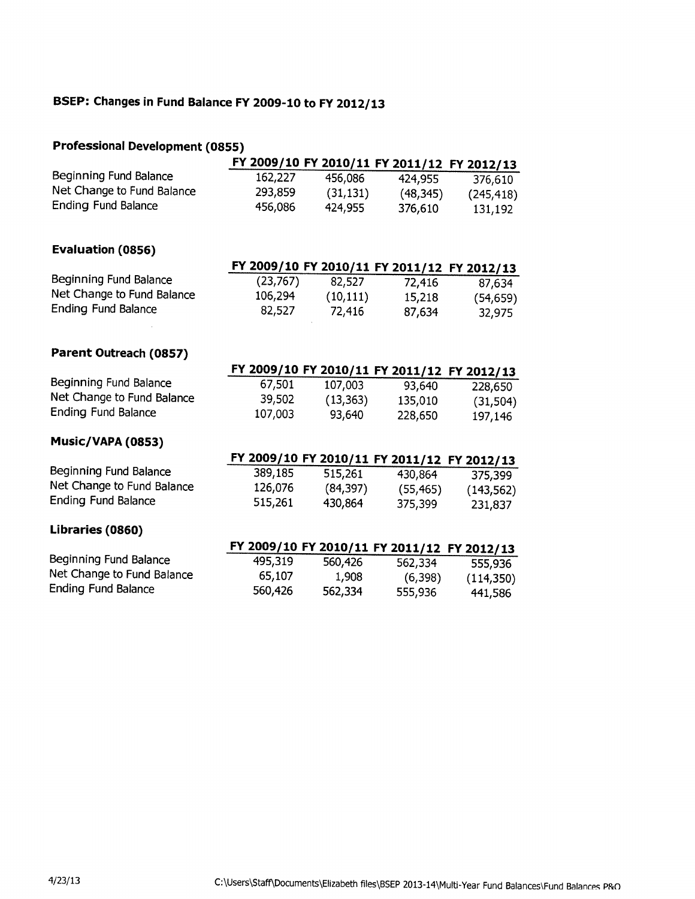# BSEP: Changes in Fund Balance FY 2009-10 to FY 2012/13

## **Professional Development (0855)**

|                            |           |                                             |           | FY 2009/10 FY 2010/11 FY 2011/12 FY 2012/13 |
|----------------------------|-----------|---------------------------------------------|-----------|---------------------------------------------|
| Beginning Fund Balance     | 162,227   | 456,086                                     | 424,955   | 376,610                                     |
| Net Change to Fund Balance | 293,859   | (31, 131)                                   | (48, 345) | (245, 418)                                  |
| <b>Ending Fund Balance</b> | 456,086   | 424,955                                     | 376,610   | 131,192                                     |
| Evaluation (0856)          |           |                                             |           |                                             |
|                            |           |                                             |           | FY 2009/10 FY 2010/11 FY 2011/12 FY 2012/13 |
| Beginning Fund Balance     | (23, 767) | 82,527                                      | 72,416    | 87,634                                      |
| Net Change to Fund Balance | 106,294   | (10, 111)                                   | 15,218    | (54, 659)                                   |
| Ending Fund Balance        | 82,527    | 72,416                                      | 87,634    | 32,975                                      |
| Parent Outreach (0857)     |           |                                             |           |                                             |
|                            |           | FY 2009/10 FY 2010/11 FY 2011/12 FY 2012/13 |           |                                             |
| Beginning Fund Balance     | 67,501    | 107,003                                     | 93,640    | 228,650                                     |
| Net Change to Fund Balance | 39,502    | (13, 363)                                   | 135,010   | (31, 504)                                   |
| <b>Ending Fund Balance</b> | 107,003   | 93,640                                      | 228,650   | 197,146                                     |
| Music/VAPA (0853)          |           |                                             |           |                                             |
|                            |           | FY 2009/10 FY 2010/11 FY 2011/12 FY 2012/13 |           |                                             |
| Beginning Fund Balance     | 389,185   | 515,261                                     | 430,864   | 375,399                                     |
| Net Change to Fund Balance | 126,076   | (84, 397)                                   | (55, 465) | (143, 562)                                  |
| <b>Ending Fund Balance</b> | 515,261   | 430,864                                     | 375,399   | 231,837                                     |
| Libraries (0860)           |           |                                             |           |                                             |
|                            |           | FY 2009/10 FY 2010/11 FY 2011/12 FY 2012/13 |           |                                             |
| Beginning Fund Balance     | 495,319   | 560,426                                     | 562,334   | 555,936                                     |
| Net Change to Fund Balance | 65,107    | 1,908                                       | (6,398)   | (114,350)                                   |
| <b>Ending Fund Balance</b> | 560,426   | 562,334                                     | 555,936   | 441,586                                     |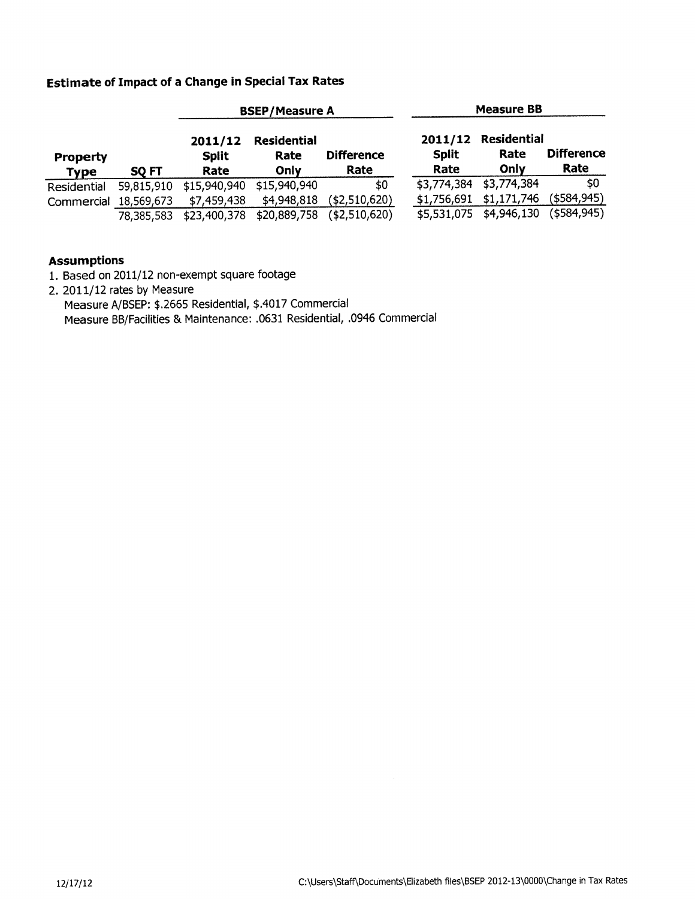## **Estimate of Impact of a Change in Special Tax Rates**

|                         |            | <b>BSEP/Measure A</b>           |                                    |                           | <b>Measure BB</b>    |                                     |                           |
|-------------------------|------------|---------------------------------|------------------------------------|---------------------------|----------------------|-------------------------------------|---------------------------|
| Property<br><b>Type</b> | SQ FT      | 2011/12<br><b>Split</b><br>Rate | <b>Residential</b><br>Rate<br>Only | <b>Difference</b><br>Rate | <b>Split</b><br>Rate | 2011/12 Residential<br>Rate<br>Only | <b>Difference</b><br>Rate |
| Residential             | 59,815,910 | \$15,940,940                    | \$15,940,940                       | \$0                       | \$3,774,384          | \$3,774,384                         | \$0                       |
| Commercial              | 18,569,673 | \$7,459,438                     | \$4,948,818                        | ( \$2,510,620)            | \$1,756,691          | \$1,171,746                         | ( \$584, 945)             |
|                         | 78,385,583 | \$23,400,378                    | \$20,889,758                       | ( \$2,510,620)            | \$5,531,075          | \$4,946,130                         | $($ \$584,945)            |

### **Assumptions**

- 1. Based on 2011/12 non-exempt square footage
- 2. 2011/12 rates by Measure Measure A/BSEP: \$.2665 Residential, \$.4017 Commercial Measure BB/Facilities & Maintenance: .0631 Residential, .0946 Commercial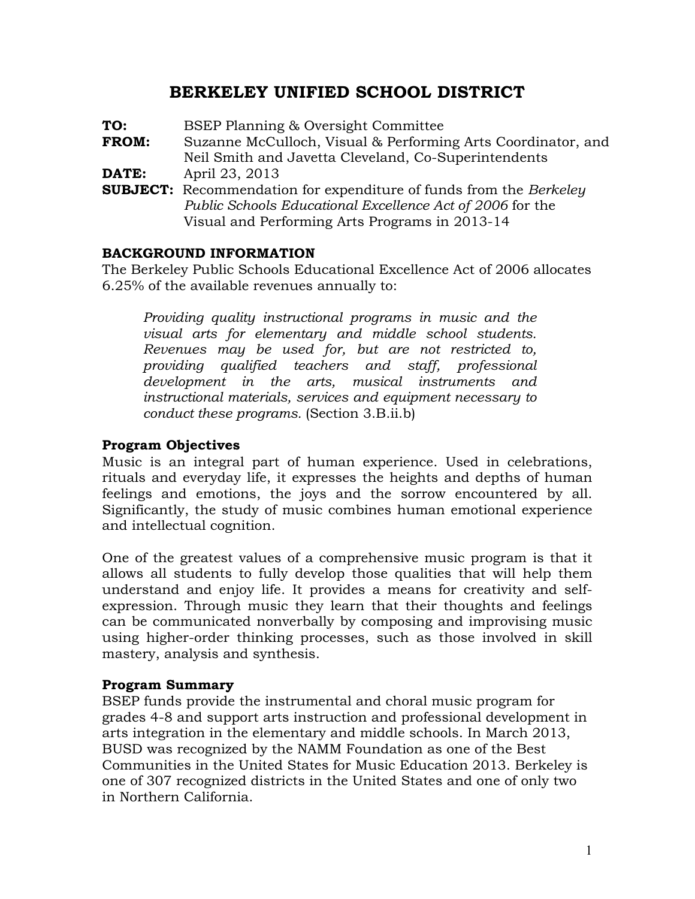# **BERKELEY UNIFIED SCHOOL DISTRICT**

| TO:          | BSEP Planning & Oversight Committee                                                                                                                                                      |
|--------------|------------------------------------------------------------------------------------------------------------------------------------------------------------------------------------------|
| <b>FROM:</b> | Suzanne McCulloch, Visual & Performing Arts Coordinator, and<br>Neil Smith and Javetta Cleveland, Co-Superintendents                                                                     |
| DATE:        | April 23, 2013                                                                                                                                                                           |
|              | <b>SUBJECT:</b> Recommendation for expenditure of funds from the Berkeley<br>Public Schools Educational Excellence Act of 2006 for the<br>Visual and Performing Arts Programs in 2013-14 |

## **BACKGROUND INFORMATION**

The Berkeley Public Schools Educational Excellence Act of 2006 allocates 6.25% of the available revenues annually to:

*Providing quality instructional programs in music and the visual arts for elementary and middle school students. Revenues may be used for, but are not restricted to, providing qualified teachers and staff, professional development in the arts, musical instruments and instructional materials, services and equipment necessary to conduct these programs.* (Section 3.B.ii.b)

## **Program Objectives**

Music is an integral part of human experience. Used in celebrations, rituals and everyday life, it expresses the heights and depths of human feelings and emotions, the joys and the sorrow encountered by all. Significantly, the study of music combines human emotional experience and intellectual cognition.

One of the greatest values of a comprehensive music program is that it allows all students to fully develop those qualities that will help them understand and enjoy life. It provides a means for creativity and selfexpression. Through music they learn that their thoughts and feelings can be communicated nonverbally by composing and improvising music using higher-order thinking processes, such as those involved in skill mastery, analysis and synthesis.

### **Program Summary**

BSEP funds provide the instrumental and choral music program for grades 4-8 and support arts instruction and professional development in arts integration in the elementary and middle schools. In March 2013, BUSD was recognized by the NAMM Foundation as one of the Best Communities in the United States for Music Education 2013. Berkeley is one of 307 recognized districts in the United States and one of only two in Northern California.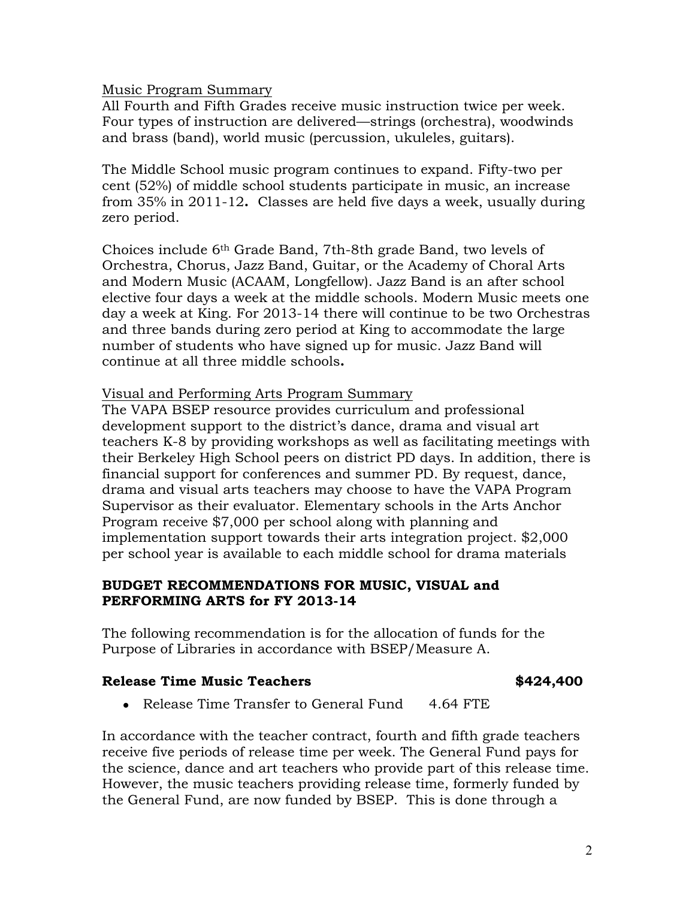Music Program Summary

All Fourth and Fifth Grades receive music instruction twice per week. Four types of instruction are delivered—strings (orchestra), woodwinds and brass (band), world music (percussion, ukuleles, guitars).

The Middle School music program continues to expand. Fifty-two per cent (52%) of middle school students participate in music, an increase from 35% in 2011-12**.** Classes are held five days a week, usually during zero period.

Choices include 6th Grade Band, 7th-8th grade Band, two levels of Orchestra, Chorus, Jazz Band, Guitar, or the Academy of Choral Arts and Modern Music (ACAAM, Longfellow). Jazz Band is an after school elective four days a week at the middle schools. Modern Music meets one day a week at King. For 2013-14 there will continue to be two Orchestras and three bands during zero period at King to accommodate the large number of students who have signed up for music. Jazz Band will continue at all three middle schools**.** 

Visual and Performing Arts Program Summary

The VAPA BSEP resource provides curriculum and professional development support to the district's dance, drama and visual art teachers K-8 by providing workshops as well as facilitating meetings with their Berkeley High School peers on district PD days. In addition, there is financial support for conferences and summer PD. By request, dance, drama and visual arts teachers may choose to have the VAPA Program Supervisor as their evaluator. Elementary schools in the Arts Anchor Program receive \$7,000 per school along with planning and implementation support towards their arts integration project. \$2,000 per school year is available to each middle school for drama materials

## **BUDGET RECOMMENDATIONS FOR MUSIC, VISUAL and PERFORMING ARTS for FY 2013-14**

The following recommendation is for the allocation of funds for the Purpose of Libraries in accordance with BSEP/Measure A.

### **Release Time Music Teachers \$424,400**

• Release Time Transfer to General Fund 4.64 FTE

In accordance with the teacher contract, fourth and fifth grade teachers receive five periods of release time per week. The General Fund pays for the science, dance and art teachers who provide part of this release time. However, the music teachers providing release time, formerly funded by the General Fund, are now funded by BSEP. This is done through a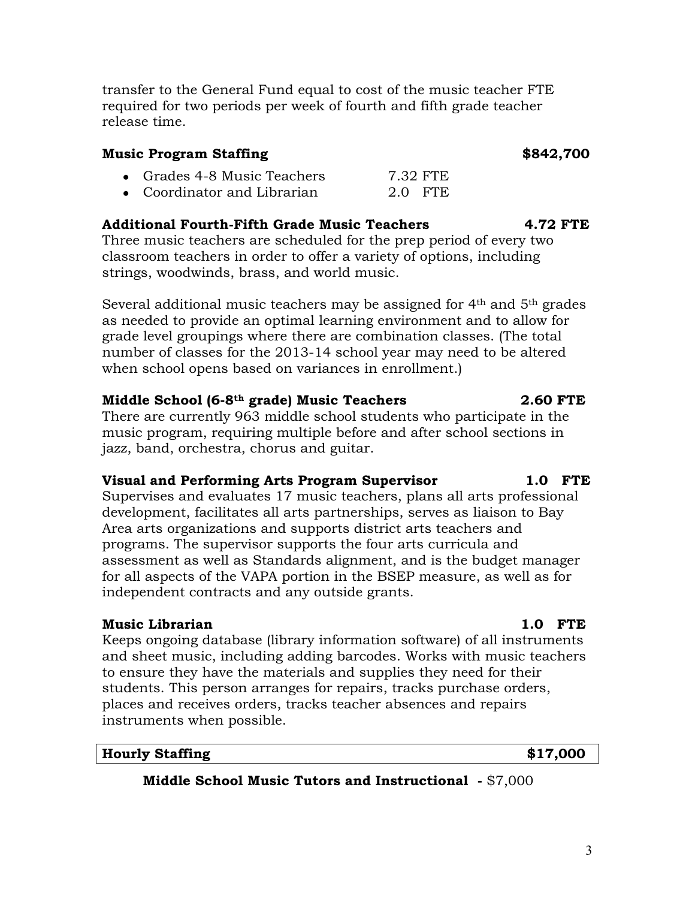transfer to the General Fund equal to cost of the music teacher FTE required for two periods per week of fourth and fifth grade teacher release time.

## **Music Program Staffing 1986 1997 12:33 13:43 14:44 14:45 16:47 16:47 16:48 16:47 16:48 16:47 16:48 16:47 16:48 16:48 16:48 16:48 16:48 16:48 16:48 16:48 16:48 16:48 16:48 16:48 16:48 16:48 16:48 16:48 16:48 16:48 16:**

- Grades 4-8 Music Teachers 7.32 FTE
- Coordinator and Librarian 2.0 FTE

# **Additional Fourth-Fifth Grade Music Teachers 4.72 FTE**

Three music teachers are scheduled for the prep period of every two classroom teachers in order to offer a variety of options, including strings, woodwinds, brass, and world music.

Several additional music teachers may be assigned for 4<sup>th</sup> and 5<sup>th</sup> grades as needed to provide an optimal learning environment and to allow for grade level groupings where there are combination classes. (The total number of classes for the 2013-14 school year may need to be altered when school opens based on variances in enrollment.)

## **Middle School (6-8th grade) Music Teachers 2.60 FTE**

There are currently 963 middle school students who participate in the music program, requiring multiple before and after school sections in jazz, band, orchestra, chorus and guitar.

## **Visual and Performing Arts Program Supervisor 1.0 FTE**

Supervises and evaluates 17 music teachers, plans all arts professional development, facilitates all arts partnerships, serves as liaison to Bay Area arts organizations and supports district arts teachers and programs. The supervisor supports the four arts curricula and assessment as well as Standards alignment, and is the budget manager for all aspects of the VAPA portion in the BSEP measure, as well as for independent contracts and any outside grants.

## **Music Librarian 1.0 FTE**

Keeps ongoing database (library information software) of all instruments and sheet music, including adding barcodes. Works with music teachers to ensure they have the materials and supplies they need for their students. This person arranges for repairs, tracks purchase orders, places and receives orders, tracks teacher absences and repairs instruments when possible.

## **Hourly Staffing \$17,000**

**Middle School Music Tutors and Instructional -** \$7,000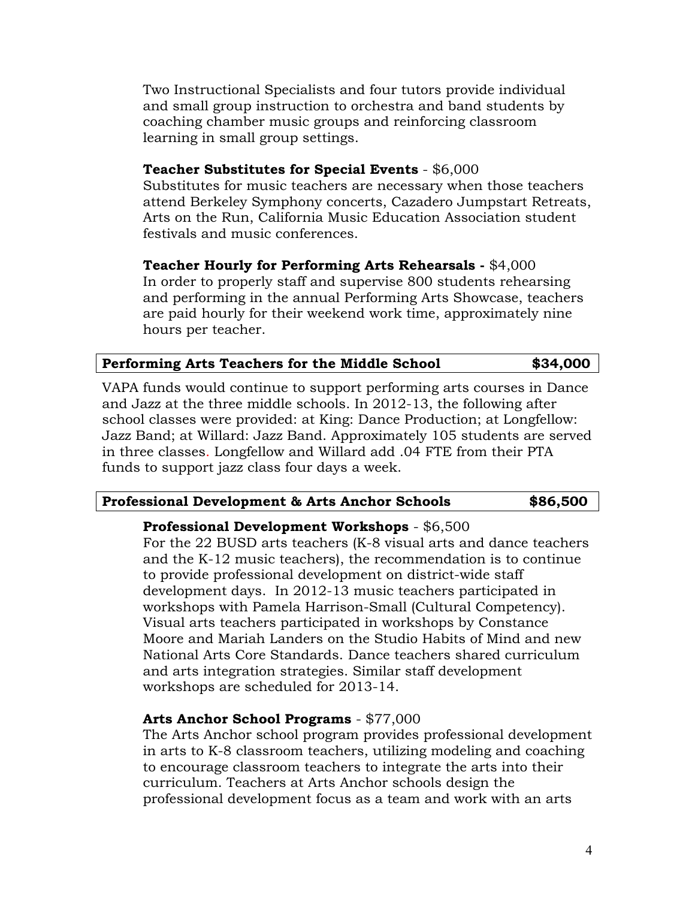Two Instructional Specialists and four tutors provide individual and small group instruction to orchestra and band students by coaching chamber music groups and reinforcing classroom learning in small group settings.

## **Teacher Substitutes for Special Events** - \$6,000

Substitutes for music teachers are necessary when those teachers attend Berkeley Symphony concerts, Cazadero Jumpstart Retreats, Arts on the Run, California Music Education Association student festivals and music conferences.

**Teacher Hourly for Performing Arts Rehearsals -** \$4,000 In order to properly staff and supervise 800 students rehearsing and performing in the annual Performing Arts Showcase, teachers are paid hourly for their weekend work time, approximately nine hours per teacher.

| Performing Arts Teachers for the Middle School |  | \$34,000 |
|------------------------------------------------|--|----------|
|                                                |  |          |

VAPA funds would continue to support performing arts courses in Dance and Jazz at the three middle schools. In 2012-13, the following after school classes were provided: at King: Dance Production; at Longfellow: Jazz Band; at Willard: Jazz Band. Approximately 105 students are served in three classes. Longfellow and Willard add .04 FTE from their PTA funds to support jazz class four days a week.

## **Professional Development & Arts Anchor Schools \$86,500**

## **Professional Development Workshops** - \$6,500

For the 22 BUSD arts teachers (K-8 visual arts and dance teachers and the K-12 music teachers), the recommendation is to continue to provide professional development on district-wide staff development days. In 2012-13 music teachers participated in workshops with Pamela Harrison-Small (Cultural Competency). Visual arts teachers participated in workshops by Constance Moore and Mariah Landers on the Studio Habits of Mind and new National Arts Core Standards. Dance teachers shared curriculum and arts integration strategies. Similar staff development workshops are scheduled for 2013-14.

### **Arts Anchor School Programs** - \$77,000

The Arts Anchor school program provides professional development in arts to K-8 classroom teachers, utilizing modeling and coaching to encourage classroom teachers to integrate the arts into their curriculum. Teachers at Arts Anchor schools design the professional development focus as a team and work with an arts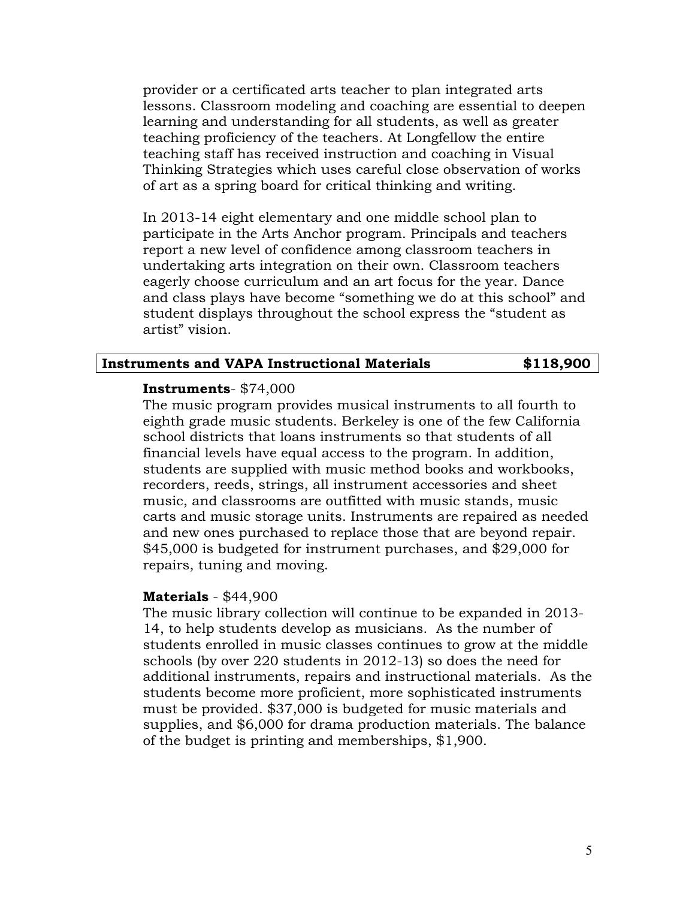provider or a certificated arts teacher to plan integrated arts lessons. Classroom modeling and coaching are essential to deepen learning and understanding for all students, as well as greater teaching proficiency of the teachers. At Longfellow the entire teaching staff has received instruction and coaching in Visual Thinking Strategies which uses careful close observation of works of art as a spring board for critical thinking and writing.

In 2013-14 eight elementary and one middle school plan to participate in the Arts Anchor program. Principals and teachers report a new level of confidence among classroom teachers in undertaking arts integration on their own. Classroom teachers eagerly choose curriculum and an art focus for the year. Dance and class plays have become "something we do at this school" and student displays throughout the school express the "student as artist" vision.

### **Instruments and VAPA Instructional Materials \$118,900**

### **Instruments**- \$74,000

The music program provides musical instruments to all fourth to eighth grade music students. Berkeley is one of the few California school districts that loans instruments so that students of all financial levels have equal access to the program. In addition, students are supplied with music method books and workbooks, recorders, reeds, strings, all instrument accessories and sheet music, and classrooms are outfitted with music stands, music carts and music storage units. Instruments are repaired as needed and new ones purchased to replace those that are beyond repair. \$45,000 is budgeted for instrument purchases, and \$29,000 for repairs, tuning and moving.

### **Materials** - \$44,900

The music library collection will continue to be expanded in 2013- 14, to help students develop as musicians. As the number of students enrolled in music classes continues to grow at the middle schools (by over 220 students in 2012-13) so does the need for additional instruments, repairs and instructional materials. As the students become more proficient, more sophisticated instruments must be provided. \$37,000 is budgeted for music materials and supplies, and \$6,000 for drama production materials. The balance of the budget is printing and memberships, \$1,900.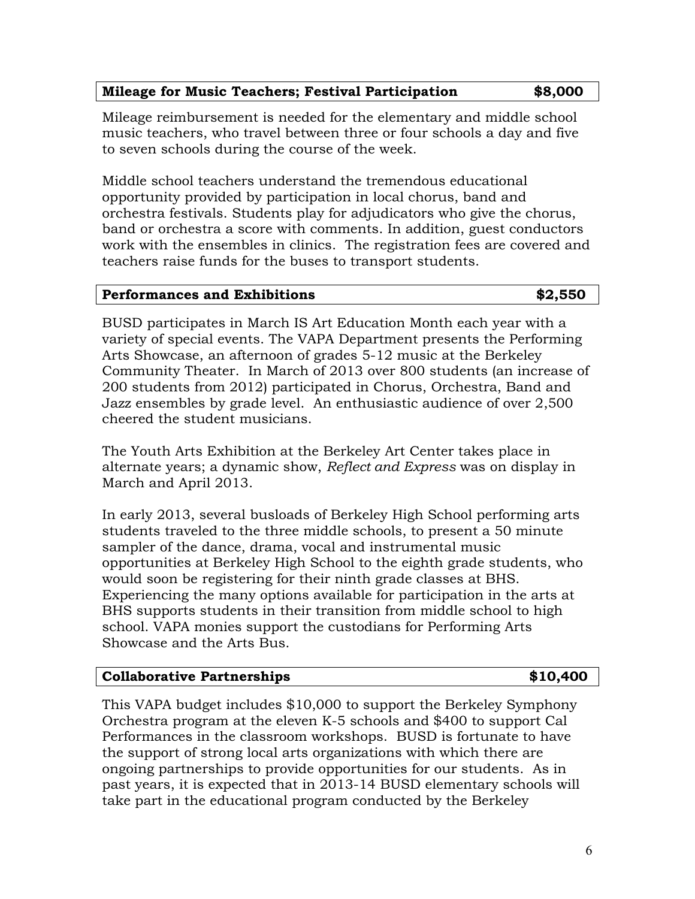# **Mileage for Music Teachers; Festival Participation \$8,000**

Mileage reimbursement is needed for the elementary and middle school music teachers, who travel between three or four schools a day and five to seven schools during the course of the week.

Middle school teachers understand the tremendous educational opportunity provided by participation in local chorus, band and orchestra festivals. Students play for adjudicators who give the chorus, band or orchestra a score with comments. In addition, guest conductors work with the ensembles in clinics. The registration fees are covered and teachers raise funds for the buses to transport students.

## **Performances and Exhibitions 62,550 kg**  $\bullet$  2,550

BUSD participates in March IS Art Education Month each year with a variety of special events. The VAPA Department presents the Performing Arts Showcase, an afternoon of grades 5-12 music at the Berkeley Community Theater. In March of 2013 over 800 students (an increase of 200 students from 2012) participated in Chorus, Orchestra, Band and Jazz ensembles by grade level. An enthusiastic audience of over 2,500 cheered the student musicians.

The Youth Arts Exhibition at the Berkeley Art Center takes place in alternate years; a dynamic show, *Reflect and Express* was on display in March and April 2013.

In early 2013, several busloads of Berkeley High School performing arts students traveled to the three middle schools, to present a 50 minute sampler of the dance, drama, vocal and instrumental music opportunities at Berkeley High School to the eighth grade students, who would soon be registering for their ninth grade classes at BHS. Experiencing the many options available for participation in the arts at BHS supports students in their transition from middle school to high school. VAPA monies support the custodians for Performing Arts Showcase and the Arts Bus.

# **Collaborative Partnerships \$10,400**

This VAPA budget includes \$10,000 to support the Berkeley Symphony Orchestra program at the eleven K-5 schools and \$400 to support Cal Performances in the classroom workshops. BUSD is fortunate to have the support of strong local arts organizations with which there are ongoing partnerships to provide opportunities for our students. As in past years, it is expected that in 2013-14 BUSD elementary schools will take part in the educational program conducted by the Berkeley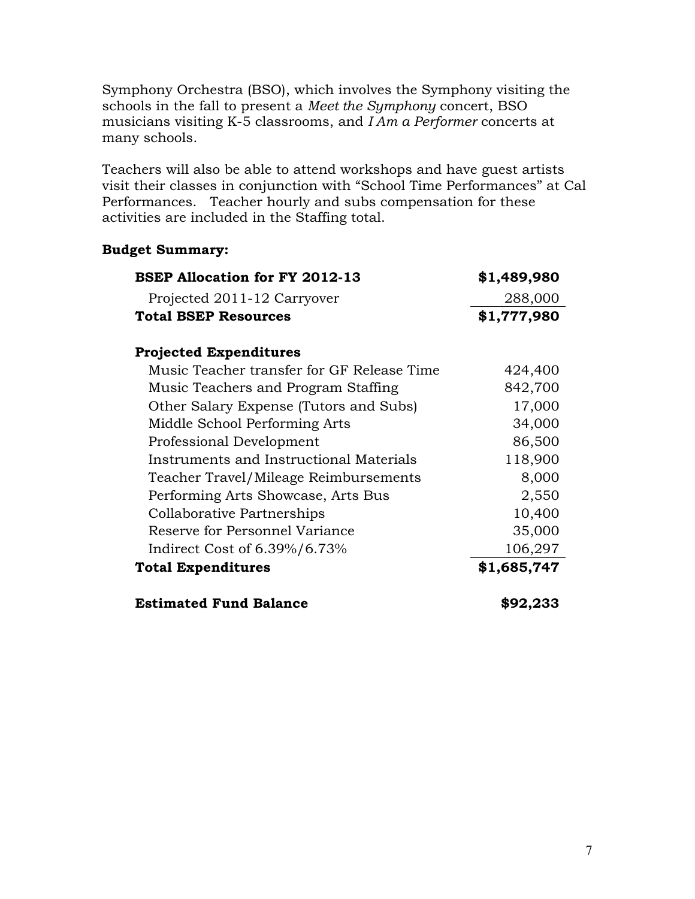Symphony Orchestra (BSO), which involves the Symphony visiting the schools in the fall to present a *Meet the Symphony* concert, BSO musicians visiting K-5 classrooms, and *I Am a Performer* concerts at many schools.

Teachers will also be able to attend workshops and have guest artists visit their classes in conjunction with "School Time Performances" at Cal Performances. Teacher hourly and subs compensation for these activities are included in the Staffing total.

## **Budget Summary:**

| <b>BSEP Allocation for FY 2012-13</b>      | \$1,489,980 |
|--------------------------------------------|-------------|
| Projected 2011-12 Carryover                | 288,000     |
| <b>Total BSEP Resources</b>                | \$1,777,980 |
| <b>Projected Expenditures</b>              |             |
| Music Teacher transfer for GF Release Time | 424,400     |
| Music Teachers and Program Staffing        | 842,700     |
| Other Salary Expense (Tutors and Subs)     | 17,000      |
| Middle School Performing Arts              | 34,000      |
| Professional Development                   | 86,500      |
| Instruments and Instructional Materials    | 118,900     |
| Teacher Travel/Mileage Reimbursements      | 8,000       |
| Performing Arts Showcase, Arts Bus         | 2,550       |
| Collaborative Partnerships                 | 10,400      |
| Reserve for Personnel Variance             | 35,000      |
| Indirect Cost of $6.39\%/6.73\%$           | 106,297     |
| <b>Total Expenditures</b>                  | \$1,685,747 |
| <b>Estimated Fund Balance</b>              | \$92,233    |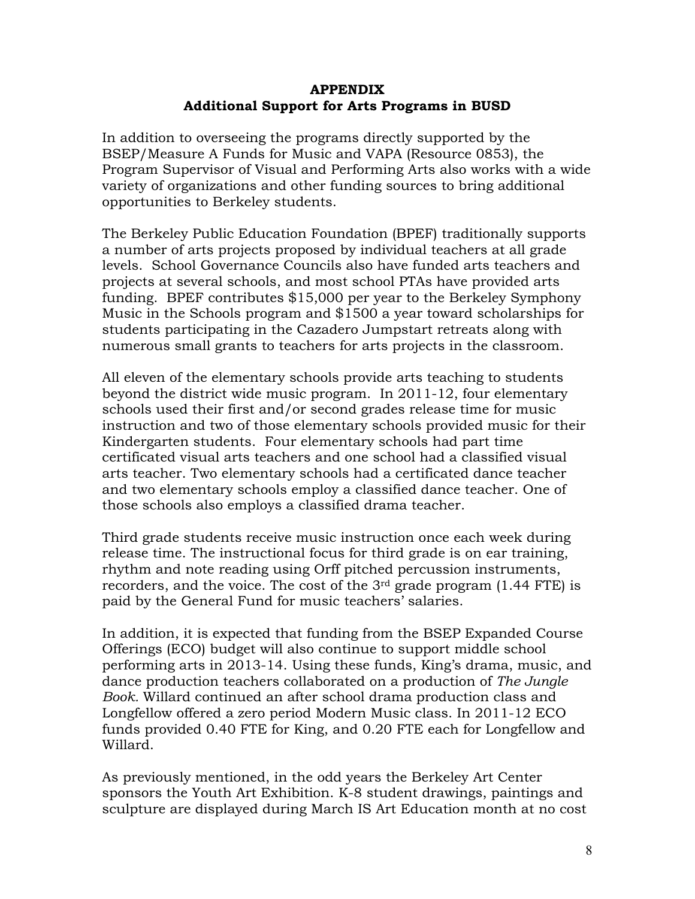## **APPENDIX Additional Support for Arts Programs in BUSD**

In addition to overseeing the programs directly supported by the BSEP/Measure A Funds for Music and VAPA (Resource 0853), the Program Supervisor of Visual and Performing Arts also works with a wide variety of organizations and other funding sources to bring additional opportunities to Berkeley students.

The Berkeley Public Education Foundation (BPEF) traditionally supports a number of arts projects proposed by individual teachers at all grade levels. School Governance Councils also have funded arts teachers and projects at several schools, and most school PTAs have provided arts funding. BPEF contributes \$15,000 per year to the Berkeley Symphony Music in the Schools program and \$1500 a year toward scholarships for students participating in the Cazadero Jumpstart retreats along with numerous small grants to teachers for arts projects in the classroom.

All eleven of the elementary schools provide arts teaching to students beyond the district wide music program. In 2011-12, four elementary schools used their first and/or second grades release time for music instruction and two of those elementary schools provided music for their Kindergarten students. Four elementary schools had part time certificated visual arts teachers and one school had a classified visual arts teacher. Two elementary schools had a certificated dance teacher and two elementary schools employ a classified dance teacher. One of those schools also employs a classified drama teacher.

Third grade students receive music instruction once each week during release time. The instructional focus for third grade is on ear training, rhythm and note reading using Orff pitched percussion instruments, recorders, and the voice. The cost of the  $3<sup>rd</sup>$  grade program (1.44 FTE) is paid by the General Fund for music teachers' salaries.

In addition, it is expected that funding from the BSEP Expanded Course Offerings (ECO) budget will also continue to support middle school performing arts in 2013-14. Using these funds, King's drama, music, and dance production teachers collaborated on a production of *The Jungle Book.* Willard continued an after school drama production class and Longfellow offered a zero period Modern Music class. In 2011-12 ECO funds provided 0.40 FTE for King, and 0.20 FTE each for Longfellow and Willard.

As previously mentioned, in the odd years the Berkeley Art Center sponsors the Youth Art Exhibition. K-8 student drawings, paintings and sculpture are displayed during March IS Art Education month at no cost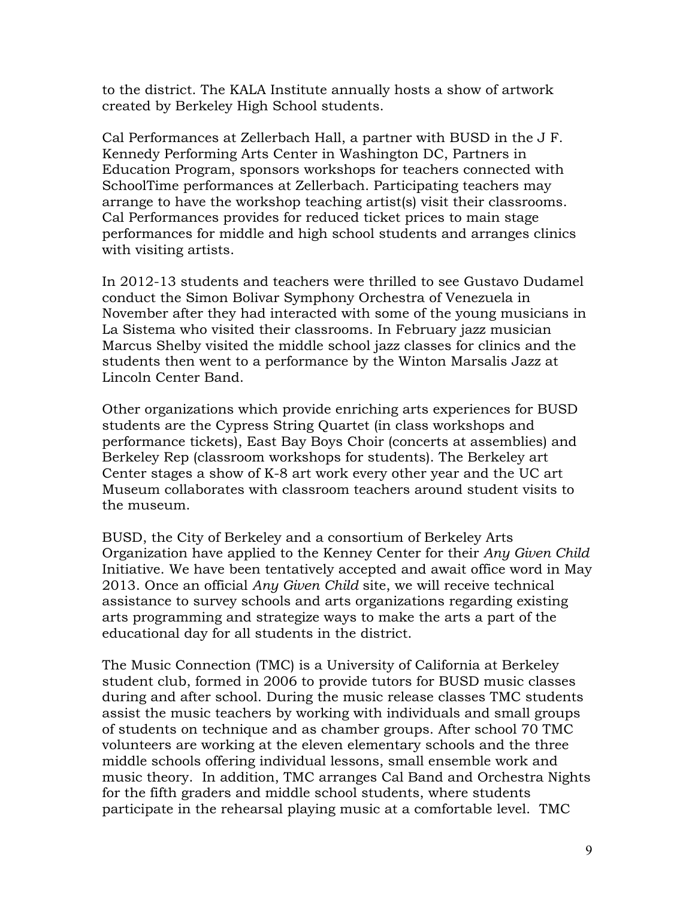to the district. The KALA Institute annually hosts a show of artwork created by Berkeley High School students.

Cal Performances at Zellerbach Hall, a partner with BUSD in the J F. Kennedy Performing Arts Center in Washington DC, Partners in Education Program, sponsors workshops for teachers connected with SchoolTime performances at Zellerbach. Participating teachers may arrange to have the workshop teaching artist(s) visit their classrooms. Cal Performances provides for reduced ticket prices to main stage performances for middle and high school students and arranges clinics with visiting artists.

In 2012-13 students and teachers were thrilled to see Gustavo Dudamel conduct the Simon Bolivar Symphony Orchestra of Venezuela in November after they had interacted with some of the young musicians in La Sistema who visited their classrooms. In February jazz musician Marcus Shelby visited the middle school jazz classes for clinics and the students then went to a performance by the Winton Marsalis Jazz at Lincoln Center Band.

Other organizations which provide enriching arts experiences for BUSD students are the Cypress String Quartet (in class workshops and performance tickets), East Bay Boys Choir (concerts at assemblies) and Berkeley Rep (classroom workshops for students). The Berkeley art Center stages a show of K-8 art work every other year and the UC art Museum collaborates with classroom teachers around student visits to the museum.

BUSD, the City of Berkeley and a consortium of Berkeley Arts Organization have applied to the Kenney Center for their *Any Given Child* Initiative. We have been tentatively accepted and await office word in May 2013. Once an official *Any Given Child* site, we will receive technical assistance to survey schools and arts organizations regarding existing arts programming and strategize ways to make the arts a part of the educational day for all students in the district.

The Music Connection (TMC) is a University of California at Berkeley student club, formed in 2006 to provide tutors for BUSD music classes during and after school. During the music release classes TMC students assist the music teachers by working with individuals and small groups of students on technique and as chamber groups. After school 70 TMC volunteers are working at the eleven elementary schools and the three middle schools offering individual lessons, small ensemble work and music theory. In addition, TMC arranges Cal Band and Orchestra Nights for the fifth graders and middle school students, where students participate in the rehearsal playing music at a comfortable level. TMC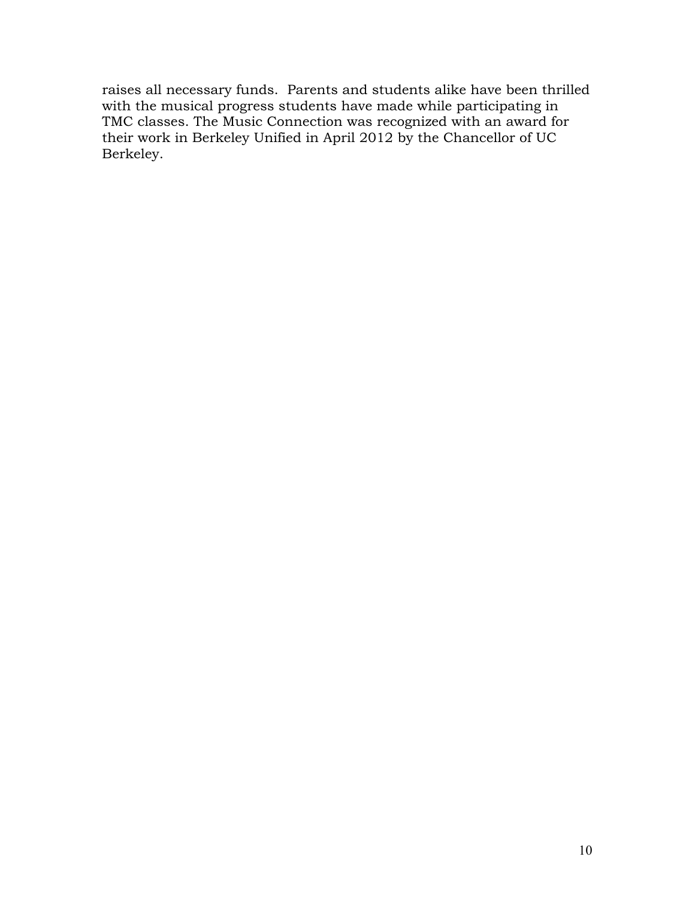raises all necessary funds. Parents and students alike have been thrilled with the musical progress students have made while participating in TMC classes. The Music Connection was recognized with an award for their work in Berkeley Unified in April 2012 by the Chancellor of UC Berkeley.